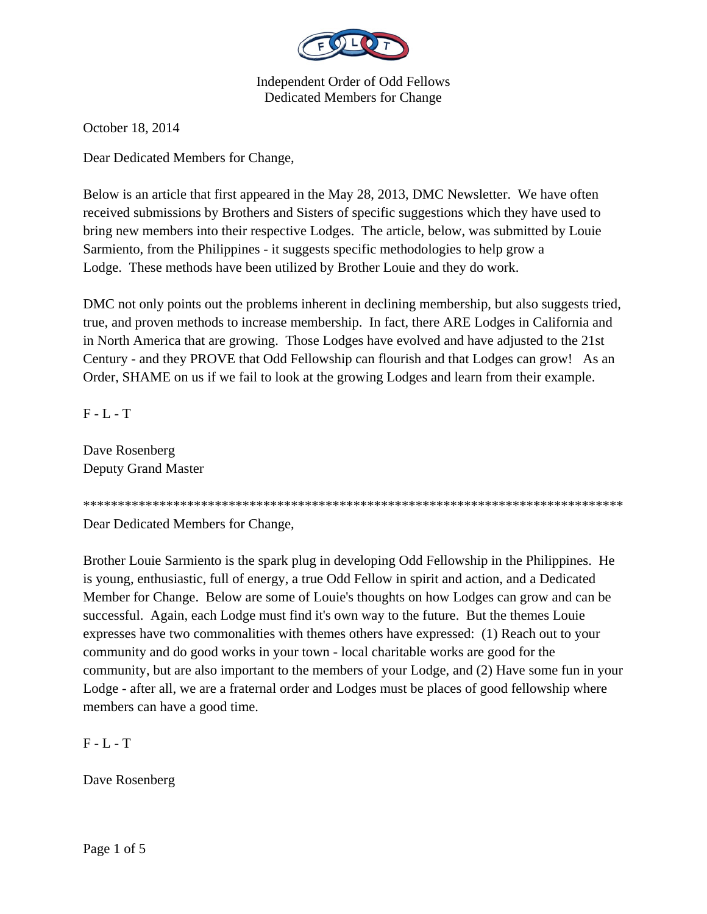

October 18, 2014

Dear Dedicated Members for Change,

Below is an article that first appeared in the May 28, 2013, DMC Newsletter. We have often received submissions by Brothers and Sisters of specific suggestions which they have used to bring new members into their respective Lodges. The article, below, was submitted by Louie Sarmiento, from the Philippines - it suggests specific methodologies to help grow a Lodge. These methods have been utilized by Brother Louie and they do work.

DMC not only points out the problems inherent in declining membership, but also suggests tried, true, and proven methods to increase membership. In fact, there ARE Lodges in California and in North America that are growing. Those Lodges have evolved and have adjusted to the 21st Century - and they PROVE that Odd Fellowship can flourish and that Lodges can grow! As an Order, SHAME on us if we fail to look at the growing Lodges and learn from their example.

F - L - T

Dave Rosenberg Deputy Grand Master

\*\*\*\*\*\*\*\*\*\*\*\*\*\*\*\*\*\*\*\*\*\*\*\*\*\*\*\*\*\*\*\*\*\*\*\*\*\*\*\*\*\*\*\*\*\*\*\*\*\*\*\*\*\*\*\*\*\*\*\*\*\*\*\*\*\*\*\*\*\*\*\*\*\*\*\*\*\*

Dear Dedicated Members for Change,

Brother Louie Sarmiento is the spark plug in developing Odd Fellowship in the Philippines. He is young, enthusiastic, full of energy, a true Odd Fellow in spirit and action, and a Dedicated Member for Change. Below are some of Louie's thoughts on how Lodges can grow and can be successful. Again, each Lodge must find it's own way to the future. But the themes Louie expresses have two commonalities with themes others have expressed: (1) Reach out to your community and do good works in your town - local charitable works are good for the community, but are also important to the members of your Lodge, and (2) Have some fun in your Lodge - after all, we are a fraternal order and Lodges must be places of good fellowship where members can have a good time.

 $F - L - T$ 

Dave Rosenberg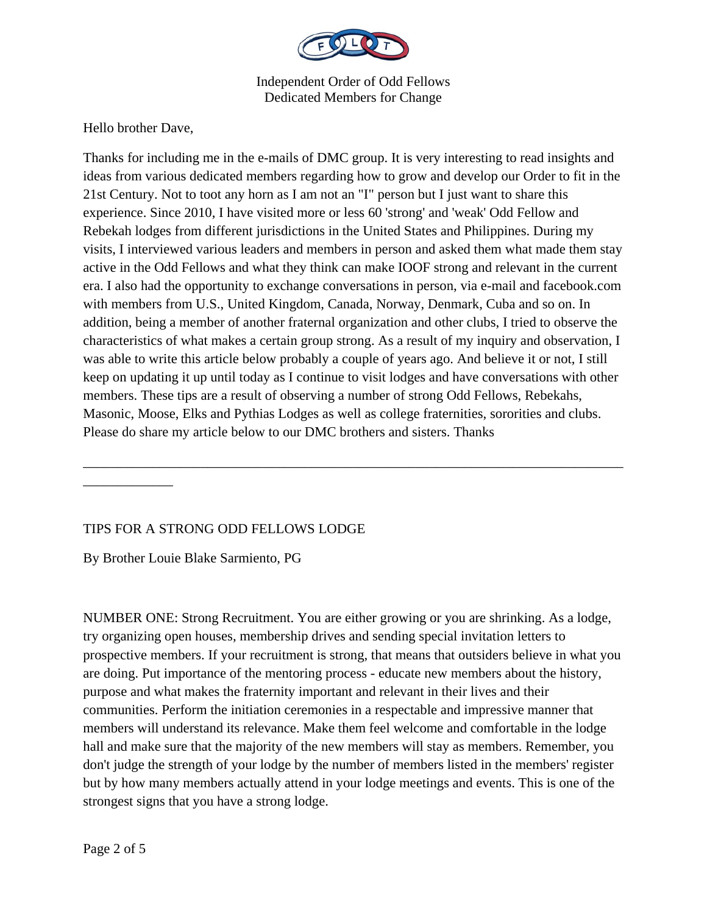

Hello brother Dave,

Thanks for including me in the e-mails of DMC group. It is very interesting to read insights and ideas from various dedicated members regarding how to grow and develop our Order to fit in the 21st Century. Not to toot any horn as I am not an "I" person but I just want to share this experience. Since 2010, I have visited more or less 60 'strong' and 'weak' Odd Fellow and Rebekah lodges from different jurisdictions in the United States and Philippines. During my visits, I interviewed various leaders and members in person and asked them what made them stay active in the Odd Fellows and what they think can make IOOF strong and relevant in the current era. I also had the opportunity to exchange conversations in person, via e-mail and facebook.com with members from U.S., United Kingdom, Canada, Norway, Denmark, Cuba and so on. In addition, being a member of another fraternal organization and other clubs, I tried to observe the characteristics of what makes a certain group strong. As a result of my inquiry and observation, I was able to write this article below probably a couple of years ago. And believe it or not, I still keep on updating it up until today as I continue to visit lodges and have conversations with other members. These tips are a result of observing a number of strong Odd Fellows, Rebekahs, Masonic, Moose, Elks and Pythias Lodges as well as college fraternities, sororities and clubs. Please do share my article below to our DMC brothers and sisters. Thanks

\_\_\_\_\_\_\_\_\_\_\_\_\_\_\_\_\_\_\_\_\_\_\_\_\_\_\_\_\_\_\_\_\_\_\_\_\_\_\_\_\_\_\_\_\_\_\_\_\_\_\_\_\_\_\_\_\_\_\_\_\_\_\_\_\_\_\_\_\_\_\_\_\_\_\_\_\_\_

## TIPS FOR A STRONG ODD FELLOWS LODGE

By Brother Louie Blake Sarmiento, PG

 $\overline{\phantom{a}}$  , where  $\overline{\phantom{a}}$ 

NUMBER ONE: Strong Recruitment. You are either growing or you are shrinking. As a lodge, try organizing open houses, membership drives and sending special invitation letters to prospective members. If your recruitment is strong, that means that outsiders believe in what you are doing. Put importance of the mentoring process - educate new members about the history, purpose and what makes the fraternity important and relevant in their lives and their communities. Perform the initiation ceremonies in a respectable and impressive manner that members will understand its relevance. Make them feel welcome and comfortable in the lodge hall and make sure that the majority of the new members will stay as members. Remember, you don't judge the strength of your lodge by the number of members listed in the members' register but by how many members actually attend in your lodge meetings and events. This is one of the strongest signs that you have a strong lodge.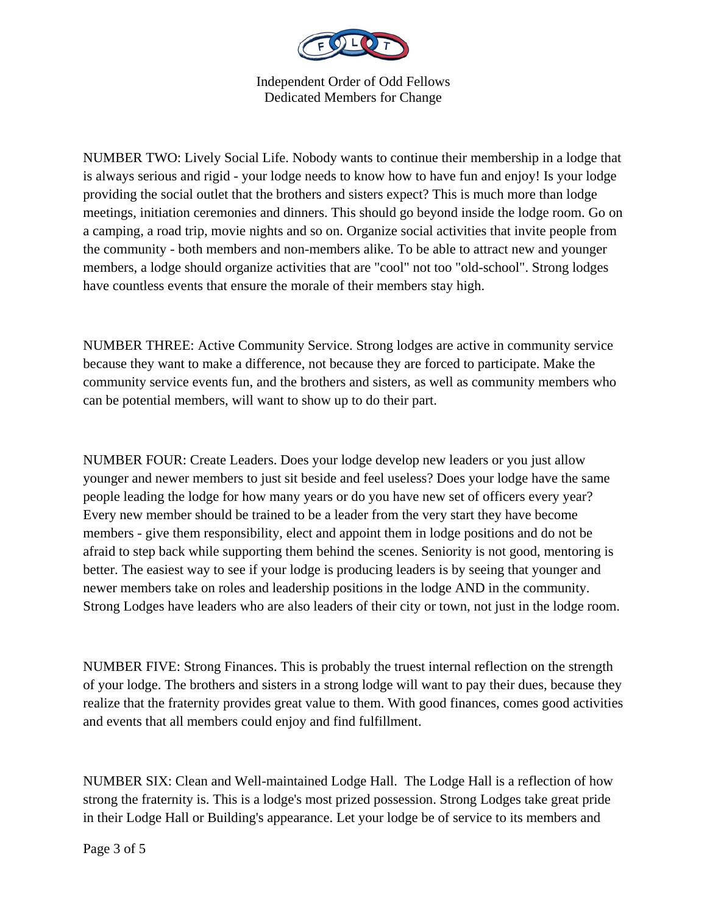

NUMBER TWO: Lively Social Life. Nobody wants to continue their membership in a lodge that is always serious and rigid - your lodge needs to know how to have fun and enjoy! Is your lodge providing the social outlet that the brothers and sisters expect? This is much more than lodge meetings, initiation ceremonies and dinners. This should go beyond inside the lodge room. Go on a camping, a road trip, movie nights and so on. Organize social activities that invite people from the community - both members and non-members alike. To be able to attract new and younger members, a lodge should organize activities that are "cool" not too "old-school". Strong lodges have countless events that ensure the morale of their members stay high.

NUMBER THREE: Active Community Service. Strong lodges are active in community service because they want to make a difference, not because they are forced to participate. Make the community service events fun, and the brothers and sisters, as well as community members who can be potential members, will want to show up to do their part.

NUMBER FOUR: Create Leaders. Does your lodge develop new leaders or you just allow younger and newer members to just sit beside and feel useless? Does your lodge have the same people leading the lodge for how many years or do you have new set of officers every year? Every new member should be trained to be a leader from the very start they have become members - give them responsibility, elect and appoint them in lodge positions and do not be afraid to step back while supporting them behind the scenes. Seniority is not good, mentoring is better. The easiest way to see if your lodge is producing leaders is by seeing that younger and newer members take on roles and leadership positions in the lodge AND in the community. Strong Lodges have leaders who are also leaders of their city or town, not just in the lodge room.

NUMBER FIVE: Strong Finances. This is probably the truest internal reflection on the strength of your lodge. The brothers and sisters in a strong lodge will want to pay their dues, because they realize that the fraternity provides great value to them. With good finances, comes good activities and events that all members could enjoy and find fulfillment.

NUMBER SIX: Clean and Well-maintained Lodge Hall. The Lodge Hall is a reflection of how strong the fraternity is. This is a lodge's most prized possession. Strong Lodges take great pride in their Lodge Hall or Building's appearance. Let your lodge be of service to its members and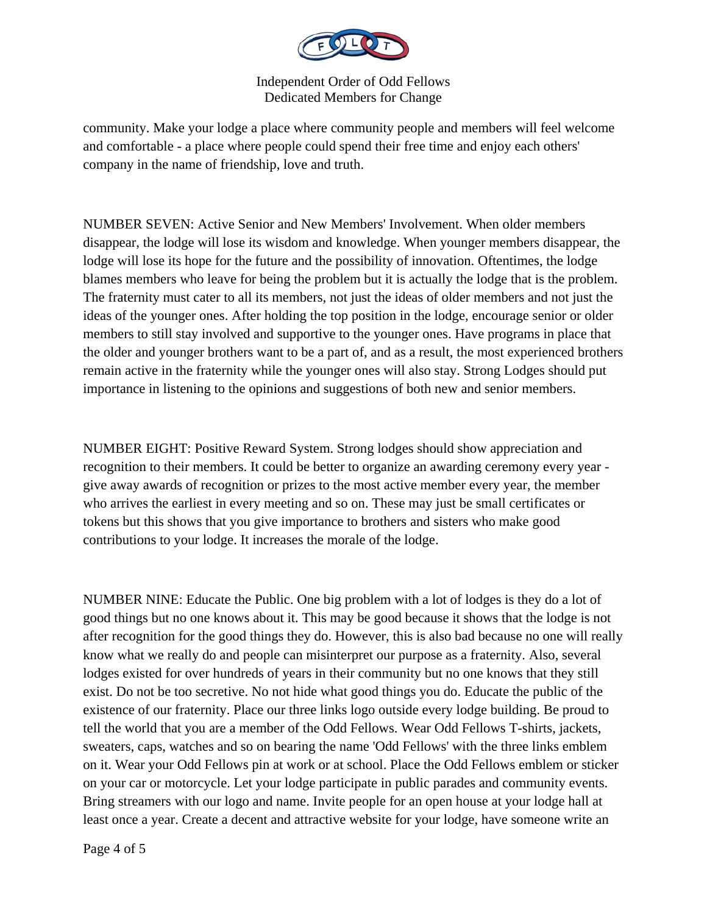

community. Make your lodge a place where community people and members will feel welcome and comfortable - a place where people could spend their free time and enjoy each others' company in the name of friendship, love and truth.

NUMBER SEVEN: Active Senior and New Members' Involvement. When older members disappear, the lodge will lose its wisdom and knowledge. When younger members disappear, the lodge will lose its hope for the future and the possibility of innovation. Oftentimes, the lodge blames members who leave for being the problem but it is actually the lodge that is the problem. The fraternity must cater to all its members, not just the ideas of older members and not just the ideas of the younger ones. After holding the top position in the lodge, encourage senior or older members to still stay involved and supportive to the younger ones. Have programs in place that the older and younger brothers want to be a part of, and as a result, the most experienced brothers remain active in the fraternity while the younger ones will also stay. Strong Lodges should put importance in listening to the opinions and suggestions of both new and senior members.

NUMBER EIGHT: Positive Reward System. Strong lodges should show appreciation and recognition to their members. It could be better to organize an awarding ceremony every year give away awards of recognition or prizes to the most active member every year, the member who arrives the earliest in every meeting and so on. These may just be small certificates or tokens but this shows that you give importance to brothers and sisters who make good contributions to your lodge. It increases the morale of the lodge.

NUMBER NINE: Educate the Public. One big problem with a lot of lodges is they do a lot of good things but no one knows about it. This may be good because it shows that the lodge is not after recognition for the good things they do. However, this is also bad because no one will really know what we really do and people can misinterpret our purpose as a fraternity. Also, several lodges existed for over hundreds of years in their community but no one knows that they still exist. Do not be too secretive. No not hide what good things you do. Educate the public of the existence of our fraternity. Place our three links logo outside every lodge building. Be proud to tell the world that you are a member of the Odd Fellows. Wear Odd Fellows T-shirts, jackets, sweaters, caps, watches and so on bearing the name 'Odd Fellows' with the three links emblem on it. Wear your Odd Fellows pin at work or at school. Place the Odd Fellows emblem or sticker on your car or motorcycle. Let your lodge participate in public parades and community events. Bring streamers with our logo and name. Invite people for an open house at your lodge hall at least once a year. Create a decent and attractive website for your lodge, have someone write an